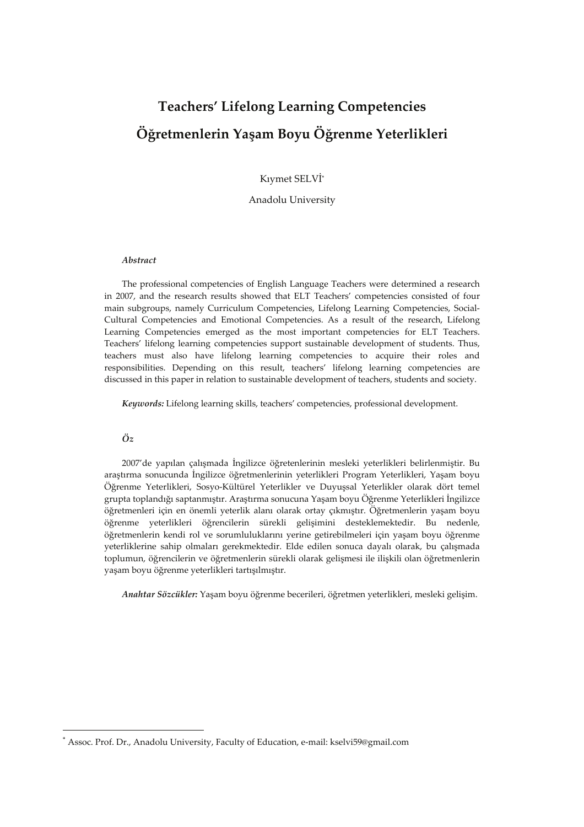# **Teachers' Lifelong Learning Competencies Öğretmenlerin Yaşam Boyu Öğrenme Yeterlikleri**

Kıymet SELVİ\*

Anadolu University

# *Abstract*

The professional competencies of English Language Teachers were determined a research in 2007, and the research results showed that ELT Teachers' competencies consisted of four main subgroups, namely Curriculum Competencies, Lifelong Learning Competencies, Social-Cultural Competencies and Emotional Competencies. As a result of the research, Lifelong Learning Competencies emerged as the most important competencies for ELT Teachers. Teachers' lifelong learning competencies support sustainable development of students. Thus, teachers must also have lifelong learning competencies to acquire their roles and responsibilities. Depending on this result, teachers' lifelong learning competencies are discussed in this paper in relation to sustainable development of teachers, students and society.

*Keywords:* Lifelong learning skills, teachers' competencies, professional development.

# *Öz*

 $\overline{a}$ 

2007'de yapılan çalışmada İngilizce öğretenlerinin mesleki yeterlikleri belirlenmiştir. Bu araştırma sonucunda İngilizce öğretmenlerinin yeterlikleri Program Yeterlikleri, Yaşam boyu Öğrenme Yeterlikleri, Sosyo-Kültürel Yeterlikler ve Duyuşsal Yeterlikler olarak dört temel grupta toplandığı saptanmıştır. Araştırma sonucuna Yaşam boyu Öğrenme Yeterlikleri İngilizce öğretmenleri için en önemli yeterlik alanı olarak ortay çıkmıştır. Öğretmenlerin yaşam boyu öğrenme yeterlikleri öğrencilerin sürekli gelişimini desteklemektedir. Bu nedenle, öğretmenlerin kendi rol ve sorumluluklarını yerine getirebilmeleri için yaşam boyu öğrenme yeterliklerine sahip olmaları gerekmektedir. Elde edilen sonuca dayalı olarak, bu çalışmada toplumun, öğrencilerin ve öğretmenlerin sürekli olarak gelişmesi ile ilişkili olan öğretmenlerin yaşam boyu öğrenme yeterlikleri tartışılmıştır.

*Anahtar Sözcükler:* Yaşam boyu öğrenme becerileri, öğretmen yeterlikleri, mesleki gelişim.

<sup>\*</sup> Assoc. Prof. Dr., Anadolu University, Faculty of Education, e-mail: kselvi59@gmail.com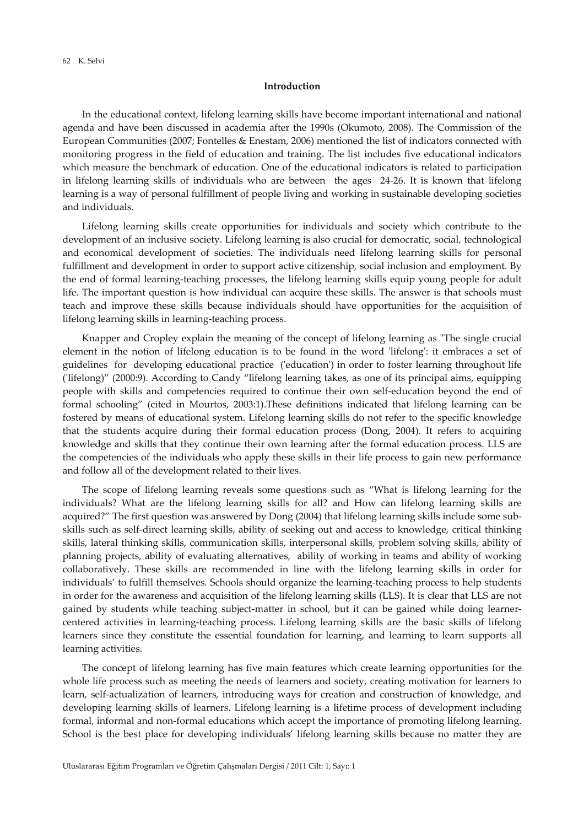# **Introduction**

In the educational context, lifelong learning skills have become important international and national agenda and have been discussed in academia after the 1990s (Okumoto, 2008). The Commission of the European Communities (2007; Fontelles & Enestam, 2006) mentioned the list of indicators connected with monitoring progress in the field of education and training. The list includes five educational indicators which measure the benchmark of education. One of the educational indicators is related to participation in lifelong learning skills of individuals who are between the ages 24-26. It is known that lifelong learning is a way of personal fulfillment of people living and working in sustainable developing societies and individuals.

Lifelong learning skills create opportunities for individuals and society which contribute to the development of an inclusive society. Lifelong learning is also crucial for democratic, social, technological and economical development of societies. The individuals need lifelong learning skills for personal fulfillment and development in order to support active citizenship, social inclusion and employment. By the end of formal learning-teaching processes, the lifelong learning skills equip young people for adult life. The important question is how individual can acquire these skills. The answer is that schools must teach and improve these skills because individuals should have opportunities for the acquisition of lifelong learning skills in learning-teaching process.

Knapper and Cropley explain the meaning of the concept of lifelong learning as "The single crucial element in the notion of lifelong education is to be found in the word 'lifelong': it embraces a set of guidelines for developing educational practice ('education') in order to foster learning throughout life ('lifelong)" (2000:9). According to Candy "lifelong learning takes, as one of its principal aims, equipping people with skills and competencies required to continue their own self-education beyond the end of formal schooling" (cited in Mourtos, 2003:1).These definitions indicated that lifelong learning can be fostered by means of educational system. Lifelong learning skills do not refer to the specific knowledge that the students acquire during their formal education process (Dong, 2004). It refers to acquiring knowledge and skills that they continue their own learning after the formal education process. LLS are the competencies of the individuals who apply these skills in their life process to gain new performance and follow all of the development related to their lives.

The scope of lifelong learning reveals some questions such as "What is lifelong learning for the individuals? What are the lifelong learning skills for all? and How can lifelong learning skills are acquired?" The first question was answered by Dong (2004) that lifelong learning skills include some subskills such as self-direct learning skills, ability of seeking out and access to knowledge, critical thinking skills, lateral thinking skills, communication skills, interpersonal skills, problem solving skills, ability of planning projects, ability of evaluating alternatives, ability of working in teams and ability of working collaboratively. These skills are recommended in line with the lifelong learning skills in order for individuals' to fulfill themselves. Schools should organize the learning-teaching process to help students in order for the awareness and acquisition of the lifelong learning skills (LLS). It is clear that LLS are not gained by students while teaching subject-matter in school, but it can be gained while doing learnercentered activities in learning-teaching process. Lifelong learning skills are the basic skills of lifelong learners since they constitute the essential foundation for learning, and learning to learn supports all learning activities.

The concept of lifelong learning has five main features which create learning opportunities for the whole life process such as meeting the needs of learners and society, creating motivation for learners to learn, self-actualization of learners, introducing ways for creation and construction of knowledge, and developing learning skills of learners. Lifelong learning is a lifetime process of development including formal, informal and non-formal educations which accept the importance of promoting lifelong learning. School is the best place for developing individuals' lifelong learning skills because no matter they are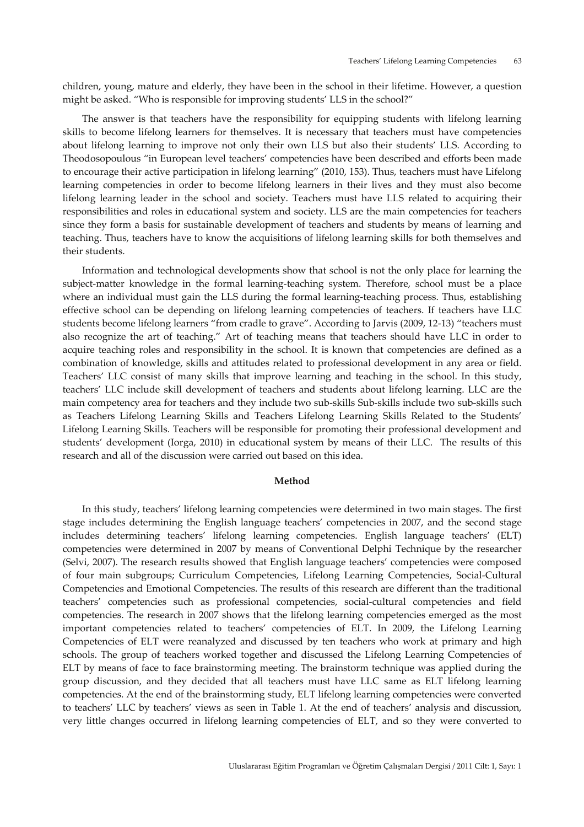children, young, mature and elderly, they have been in the school in their lifetime. However, a question might be asked. "Who is responsible for improving students' LLS in the school?"

The answer is that teachers have the responsibility for equipping students with lifelong learning skills to become lifelong learners for themselves. It is necessary that teachers must have competencies about lifelong learning to improve not only their own LLS but also their students' LLS. According to Theodosopoulous "in European level teachers' competencies have been described and efforts been made to encourage their active participation in lifelong learning" (2010, 153). Thus, teachers must have Lifelong learning competencies in order to become lifelong learners in their lives and they must also become lifelong learning leader in the school and society. Teachers must have LLS related to acquiring their responsibilities and roles in educational system and society. LLS are the main competencies for teachers since they form a basis for sustainable development of teachers and students by means of learning and teaching. Thus, teachers have to know the acquisitions of lifelong learning skills for both themselves and their students.

Information and technological developments show that school is not the only place for learning the subject-matter knowledge in the formal learning-teaching system. Therefore, school must be a place where an individual must gain the LLS during the formal learning-teaching process. Thus, establishing effective school can be depending on lifelong learning competencies of teachers. If teachers have LLC students become lifelong learners "from cradle to grave". According to Jarvis (2009, 12-13) "teachers must also recognize the art of teaching." Art of teaching means that teachers should have LLC in order to acquire teaching roles and responsibility in the school. It is known that competencies are defined as a combination of knowledge, skills and attitudes related to professional development in any area or field. Teachers' LLC consist of many skills that improve learning and teaching in the school. In this study, teachers' LLC include skill development of teachers and students about lifelong learning. LLC are the main competency area for teachers and they include two sub-skills Sub-skills include two sub-skills such as Teachers Lifelong Learning Skills and Teachers Lifelong Learning Skills Related to the Students' Lifelong Learning Skills. Teachers will be responsible for promoting their professional development and students' development (Iorga, 2010) in educational system by means of their LLC. The results of this research and all of the discussion were carried out based on this idea.

## **Method**

In this study, teachers' lifelong learning competencies were determined in two main stages. The first stage includes determining the English language teachers' competencies in 2007, and the second stage includes determining teachers' lifelong learning competencies. English language teachers' (ELT) competencies were determined in 2007 by means of Conventional Delphi Technique by the researcher (Selvi, 2007). The research results showed that English language teachers' competencies were composed of four main subgroups; Curriculum Competencies, Lifelong Learning Competencies, Social-Cultural Competencies and Emotional Competencies. The results of this research are different than the traditional teachers' competencies such as professional competencies, social-cultural competencies and field competencies. The research in 2007 shows that the lifelong learning competencies emerged as the most important competencies related to teachers' competencies of ELT. In 2009, the Lifelong Learning Competencies of ELT were reanalyzed and discussed by ten teachers who work at primary and high schools. The group of teachers worked together and discussed the Lifelong Learning Competencies of ELT by means of face to face brainstorming meeting. The brainstorm technique was applied during the group discussion, and they decided that all teachers must have LLC same as ELT lifelong learning competencies. At the end of the brainstorming study, ELT lifelong learning competencies were converted to teachers' LLC by teachers' views as seen in Table 1. At the end of teachers' analysis and discussion, very little changes occurred in lifelong learning competencies of ELT, and so they were converted to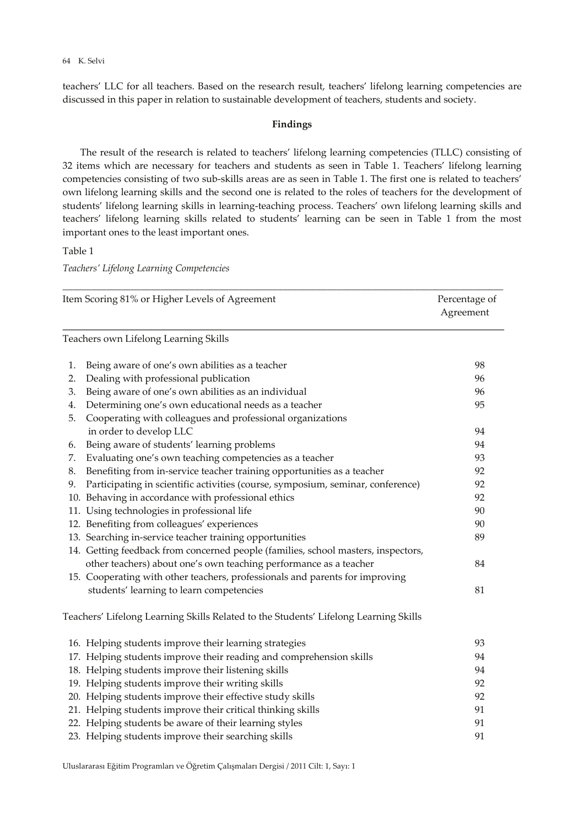#### K. Selvi 64

teachers' LLC for all teachers. Based on the research result, teachers' lifelong learning competencies are discussed in this paper in relation to sustainable development of teachers, students and society.

# **Findings**

The result of the research is related to teachers' lifelong learning competencies (TLLC) consisting of 32 items which are necessary for teachers and students as seen in Table 1. Teachers' lifelong learning competencies consisting of two sub-skills areas are as seen in Table 1. The first one is related to teachers' own lifelong learning skills and the second one is related to the roles of teachers for the development of students' lifelong learning skills in learning-teaching process. Teachers' own lifelong learning skills and teachers' lifelong learning skills related to students' learning can be seen in Table 1 from the most important ones to the least important ones.

Table 1

*Teachers' Lifelong Learning Competencies*

|    | Item Scoring 81% or Higher Levels of Agreement<br>Percentage of<br>Agreement         |    |
|----|--------------------------------------------------------------------------------------|----|
|    | Teachers own Lifelong Learning Skills                                                |    |
| 1. | Being aware of one's own abilities as a teacher                                      | 98 |
| 2. | Dealing with professional publication                                                | 96 |
| 3. | Being aware of one's own abilities as an individual                                  | 96 |
| 4. | Determining one's own educational needs as a teacher                                 | 95 |
| 5. | Cooperating with colleagues and professional organizations                           |    |
|    | in order to develop LLC                                                              | 94 |
| 6. | Being aware of students' learning problems                                           | 94 |
| 7. | Evaluating one's own teaching competencies as a teacher                              | 93 |
| 8. | Benefiting from in-service teacher training opportunities as a teacher               | 92 |
| 9. | Participating in scientific activities (course, symposium, seminar, conference)      | 92 |
|    | 10. Behaving in accordance with professional ethics                                  | 92 |
|    | 11. Using technologies in professional life                                          | 90 |
|    | 12. Benefiting from colleagues' experiences                                          | 90 |
|    | 13. Searching in-service teacher training opportunities                              | 89 |
|    | 14. Getting feedback from concerned people (families, school masters, inspectors,    |    |
|    | other teachers) about one's own teaching performance as a teacher                    | 84 |
|    | 15. Cooperating with other teachers, professionals and parents for improving         |    |
|    | students' learning to learn competencies                                             | 81 |
|    | Teachers' Lifelong Learning Skills Related to the Students' Lifelong Learning Skills |    |
|    | 16. Helping students improve their learning strategies                               | 93 |
|    | 17. Helping students improve their reading and comprehension skills                  | 94 |
|    | 18. Helping students improve their listening skills                                  | 94 |
|    | 19. Helping students improve their writing skills                                    | 92 |
|    | 20. Helping students improve their effective study skills                            | 92 |
|    | 21. Helping students improve their critical thinking skills                          | 91 |
|    | 22. Helping students be aware of their learning styles                               | 91 |
|    | 23. Helping students improve their searching skills                                  | 91 |

Uluslararası Eğitim Programları ve Öğretim Çalışmaları Dergisi / 2011 Cilt: 1, Sayı: 1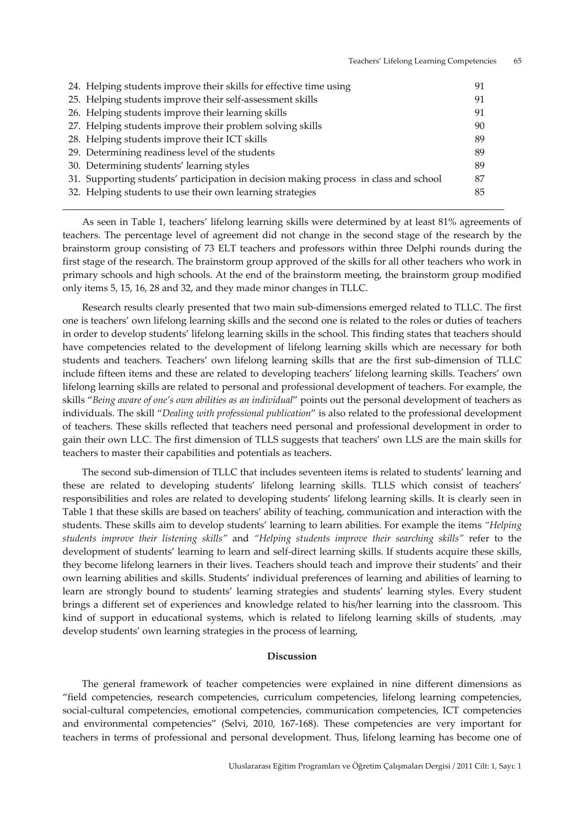| 24. Helping students improve their skills for effective time using                    | 91 |
|---------------------------------------------------------------------------------------|----|
| 25. Helping students improve their self-assessment skills                             | 91 |
| 26. Helping students improve their learning skills                                    | 91 |
| 27. Helping students improve their problem solving skills                             | 90 |
| 28. Helping students improve their ICT skills                                         | 89 |
| 29. Determining readiness level of the students                                       | 89 |
| 30. Determining students' learning styles                                             | 89 |
| 31. Supporting students' participation in decision making process in class and school | 87 |
| 32. Helping students to use their own learning strategies                             | 85 |
|                                                                                       |    |

As seen in Table 1, teachers' lifelong learning skills were determined by at least 81% agreements of teachers. The percentage level of agreement did not change in the second stage of the research by the brainstorm group consisting of 73 ELT teachers and professors within three Delphi rounds during the first stage of the research. The brainstorm group approved of the skills for all other teachers who work in primary schools and high schools. At the end of the brainstorm meeting, the brainstorm group modified only items 5, 15, 16, 28 and 32, and they made minor changes in TLLC.

\_\_\_\_\_\_\_\_\_\_\_\_\_\_\_\_\_\_\_\_\_\_\_\_\_\_\_\_\_\_\_\_\_\_\_\_\_\_\_\_\_\_\_\_\_\_\_\_\_\_\_\_\_\_\_\_\_\_\_\_\_\_\_\_\_\_\_\_\_\_\_\_\_\_\_\_\_\_\_\_\_\_\_\_\_\_\_\_\_\_

Research results clearly presented that two main sub-dimensions emerged related to TLLC. The first one is teachers' own lifelong learning skills and the second one is related to the roles or duties of teachers in order to develop students' lifelong learning skills in the school. This finding states that teachers should have competencies related to the development of lifelong learning skills which are necessary for both students and teachers. Teachers' own lifelong learning skills that are the first sub-dimension of TLLC include fifteen items and these are related to developing teachers' lifelong learning skills. Teachers' own lifelong learning skills are related to personal and professional development of teachers. For example, the skills "*Being aware of one's own abilities as an individual*" points out the personal development of teachers as individuals. The skill "*Dealing with professional publication*" is also related to the professional development of teachers. These skills reflected that teachers need personal and professional development in order to gain their own LLC. The first dimension of TLLS suggests that teachers' own LLS are the main skills for teachers to master their capabilities and potentials as teachers.

The second sub-dimension of TLLC that includes seventeen items is related to students' learning and these are related to developing students' lifelong learning skills. TLLS which consist of teachers' responsibilities and roles are related to developing students' lifelong learning skills. It is clearly seen in Table 1 that these skills are based on teachers' ability of teaching, communication and interaction with the students. These skills aim to develop students' learning to learn abilities. For example the items *"Helping students improve their listening skills"* and *"Helping students improve their searching skills"* refer to the development of students' learning to learn and self-direct learning skills. If students acquire these skills, they become lifelong learners in their lives. Teachers should teach and improve their students' and their own learning abilities and skills. Students' individual preferences of learning and abilities of learning to learn are strongly bound to students' learning strategies and students' learning styles. Every student brings a different set of experiences and knowledge related to his/her learning into the classroom. This kind of support in educational systems, which is related to lifelong learning skills of students, .may develop students' own learning strategies in the process of learning,

#### **Discussion**

The general framework of teacher competencies were explained in nine different dimensions as "field competencies, research competencies, curriculum competencies, lifelong learning competencies, social-cultural competencies, emotional competencies, communication competencies, ICT competencies and environmental competencies" (Selvi, 2010, 167-168). These competencies are very important for teachers in terms of professional and personal development. Thus, lifelong learning has become one of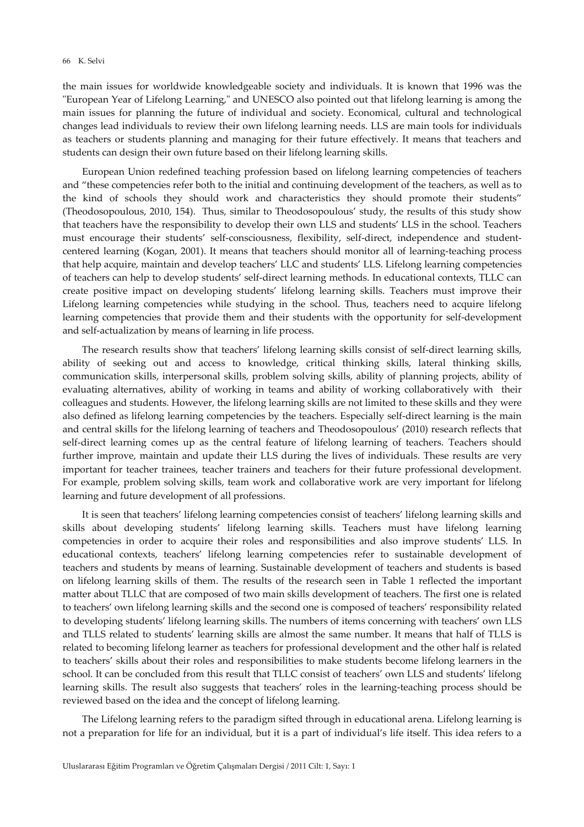#### K. Selvi 66

the main issues for worldwide knowledgeable society and individuals. It is known that 1996 was the "European Year of Lifelong Learning," and UNESCO also pointed out that lifelong learning is among the main issues for planning the future of individual and society. Economical, cultural and technological changes lead individuals to review their own lifelong learning needs. LLS are main tools for individuals as teachers or students planning and managing for their future effectively. It means that teachers and students can design their own future based on their lifelong learning skills.

European Union redefined teaching profession based on lifelong learning competencies of teachers and "these competencies refer both to the initial and continuing development of the teachers, as well as to the kind of schools they should work and characteristics they should promote their students" (Theodosopoulous, 2010, 154). Thus, similar to Theodosopoulous' study, the results of this study show that teachers have the responsibility to develop their own LLS and students' LLS in the school. Teachers must encourage their students' self-consciousness, flexibility, self-direct, independence and studentcentered learning (Kogan, 2001). It means that teachers should monitor all of learning-teaching process that help acquire, maintain and develop teachers' LLC and students' LLS. Lifelong learning competencies of teachers can help to develop students' self-direct learning methods. In educational contexts, TLLC can create positive impact on developing students' lifelong learning skills. Teachers must improve their Lifelong learning competencies while studying in the school. Thus, teachers need to acquire lifelong learning competencies that provide them and their students with the opportunity for self-development and self-actualization by means of learning in life process.

The research results show that teachers' lifelong learning skills consist of self-direct learning skills, ability of seeking out and access to knowledge, critical thinking skills, lateral thinking skills, communication skills, interpersonal skills, problem solving skills, ability of planning projects, ability of evaluating alternatives, ability of working in teams and ability of working collaboratively with their colleagues and students. However, the lifelong learning skills are not limited to these skills and they were also defined as lifelong learning competencies by the teachers. Especially self-direct learning is the main and central skills for the lifelong learning of teachers and Theodosopoulous' (2010) research reflects that self-direct learning comes up as the central feature of lifelong learning of teachers. Teachers should further improve, maintain and update their LLS during the lives of individuals. These results are very important for teacher trainees, teacher trainers and teachers for their future professional development. For example, problem solving skills, team work and collaborative work are very important for lifelong learning and future development of all professions.

It is seen that teachers' lifelong learning competencies consist of teachers' lifelong learning skills and skills about developing students' lifelong learning skills. Teachers must have lifelong learning competencies in order to acquire their roles and responsibilities and also improve students' LLS. In educational contexts, teachers' lifelong learning competencies refer to sustainable development of teachers and students by means of learning. Sustainable development of teachers and students is based on lifelong learning skills of them. The results of the research seen in Table 1 reflected the important matter about TLLC that are composed of two main skills development of teachers. The first one is related to teachers' own lifelong learning skills and the second one is composed of teachers' responsibility related to developing students' lifelong learning skills. The numbers of items concerning with teachers' own LLS and TLLS related to students' learning skills are almost the same number. It means that half of TLLS is related to becoming lifelong learner as teachers for professional development and the other half is related to teachers' skills about their roles and responsibilities to make students become lifelong learners in the school. It can be concluded from this result that TLLC consist of teachers' own LLS and students' lifelong learning skills. The result also suggests that teachers' roles in the learning-teaching process should be reviewed based on the idea and the concept of lifelong learning.

The Lifelong learning refers to the paradigm sifted through in educational arena. Lifelong learning is not a preparation for life for an individual, but it is a part of individual's life itself. This idea refers to a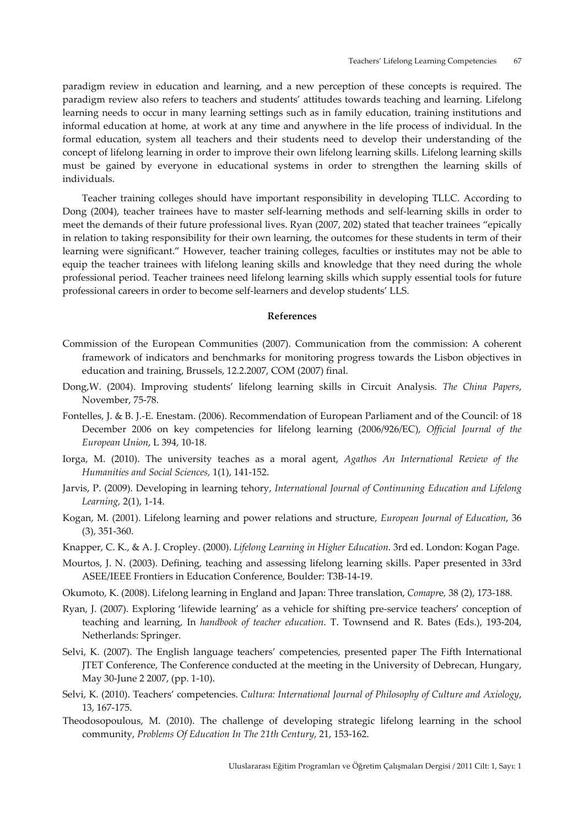paradigm review in education and learning, and a new perception of these concepts is required. The paradigm review also refers to teachers and students' attitudes towards teaching and learning. Lifelong learning needs to occur in many learning settings such as in family education, training institutions and informal education at home, at work at any time and anywhere in the life process of individual. In the formal education, system all teachers and their students need to develop their understanding of the concept of lifelong learning in order to improve their own lifelong learning skills. Lifelong learning skills must be gained by everyone in educational systems in order to strengthen the learning skills of individuals.

Teacher training colleges should have important responsibility in developing TLLC. According to Dong (2004), teacher trainees have to master self-learning methods and self-learning skills in order to meet the demands of their future professional lives. Ryan (2007, 202) stated that teacher trainees "epically in relation to taking responsibility for their own learning, the outcomes for these students in term of their learning were significant." However, teacher training colleges, faculties or institutes may not be able to equip the teacher trainees with lifelong leaning skills and knowledge that they need during the whole professional period. Teacher trainees need lifelong learning skills which supply essential tools for future professional careers in order to become self-learners and develop students' LLS.

#### **References**

- Commission of the European Communities (2007). Communication from the commission: A coherent framework of indicators and benchmarks for monitoring progress towards the Lisbon objectives in education and training, Brussels, 12.2.2007, COM (2007) final.
- Dong,W. (2004). Improving students' lifelong learning skills in Circuit Analysis. *The China Papers*, November, 75-78.
- Fontelles, J. & B. J.-E. Enestam. (2006). Recommendation of European Parliament and of the Council: of 18 December 2006 on key competencies for lifelong learning (2006/926/EC), *Official Journal of the European Union*, L 394, 10-18.
- Iorga, M. (2010). The university teaches as a moral agent, *Agathos An International Review of the Humanities and Social Sciences,* 1(1), 141-152.
- Jarvis, P. (2009). Developing in learning tehory, *International Journal of Continuning Education and Lifelong Learning,* 2(1), 1-14.
- Kogan, M. (2001). Lifelong learning and power relations and structure, *European Journal of Education*, 36 (3), 351-360.

Knapper, C. K., & A. J. Cropley. (2000). *Lifelong Learning in Higher Education*. 3rd ed. London: Kogan Page.

- Mourtos, J. N. (2003). Defining, teaching and assessing lifelong learning skills. Paper presented in 33rd ASEE/IEEE Frontiers in Education Conference, Boulder: T3B-14-19.
- Okumoto, K. (2008). Lifelong learning in England and Japan: Three translation, *Comapr*e*,* 38 (2), 173-188.
- Ryan, J. (2007). Exploring 'lifewide learning' as a vehicle for shifting pre-service teachers' conception of teaching and learning, In *handbook of teacher education*. T. Townsend and R. Bates (Eds.), 193-204, Netherlands: Springer.
- Selvi, K. (2007). The English language teachers' competencies, presented paper The Fifth International JTET Conference, The Conference conducted at the meeting in the University of Debrecan, Hungary, May 30-June 2 2007, (pp. 1-10).
- Selvi, K. (2010). Teachers' competencies. *Cultura: International Journal of Philosophy of Culture and Axiology*, 13, 167-175.
- Theodosopoulous, M. (2010). The challenge of developing strategic lifelong learning in the school community, *Problems Of Education In The 21th Century*, 21, 153-162.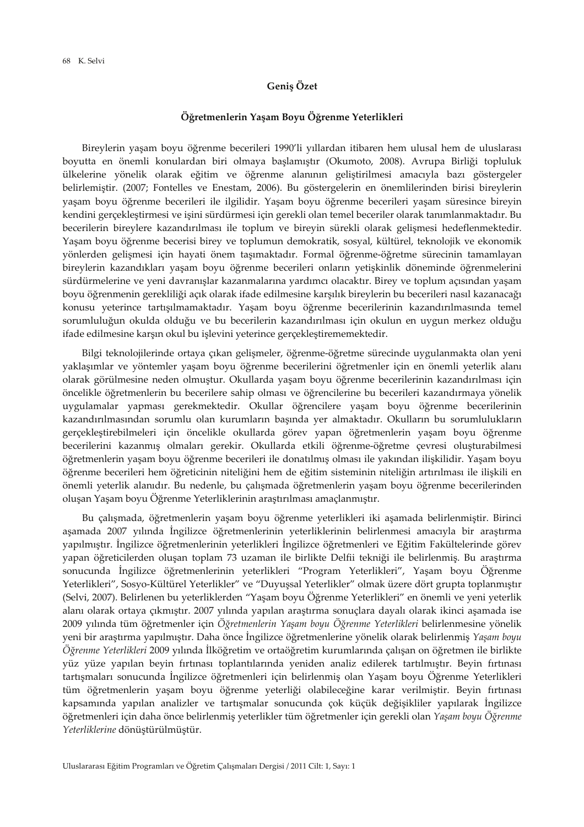### **Geniş Özet**

#### **Öğretmenlerin Yaşam Boyu Öğrenme Yeterlikleri**

Bireylerin yaşam boyu öğrenme becerileri 1990'li yıllardan itibaren hem ulusal hem de uluslarası boyutta en önemli konulardan biri olmaya başlamıştır (Okumoto, 2008). Avrupa Birliği topluluk ülkelerine yönelik olarak eğitim ve öğrenme alanının geliştirilmesi amacıyla bazı göstergeler belirlemiştir. (2007; Fontelles ve Enestam, 2006). Bu göstergelerin en önemlilerinden birisi bireylerin yaşam boyu öğrenme becerileri ile ilgilidir. Yaşam boyu öğrenme becerileri yaşam süresince bireyin kendini gerçekleştirmesi ve işini sürdürmesi için gerekli olan temel beceriler olarak tanımlanmaktadır. Bu becerilerin bireylere kazandırılması ile toplum ve bireyin sürekli olarak gelişmesi hedeflenmektedir. Yaşam boyu öğrenme becerisi birey ve toplumun demokratik, sosyal, kültürel, teknolojik ve ekonomik yönlerden gelişmesi için hayati önem taşımaktadır. Formal öğrenme-öğretme sürecinin tamamlayan bireylerin kazandıkları yaşam boyu öğrenme becerileri onların yetişkinlik döneminde öğrenmelerini sürdürmelerine ve yeni davranışlar kazanmalarına yardımcı olacaktır. Birey ve toplum açısından yaşam boyu öğrenmenin gerekliliği açık olarak ifade edilmesine karşılık bireylerin bu becerileri nasıl kazanacağı konusu yeterince tartışılmamaktadır. Yaşam boyu öğrenme becerilerinin kazandırılmasında temel sorumluluğun okulda olduğu ve bu becerilerin kazandırılması için okulun en uygun merkez olduğu ifade edilmesine karşın okul bu işlevini yeterince gerçekleştirememektedir.

Bilgi teknolojilerinde ortaya çıkan gelişmeler, öğrenme-öğretme sürecinde uygulanmakta olan yeni yaklaşımlar ve yöntemler yaşam boyu öğrenme becerilerini öğretmenler için en önemli yeterlik alanı olarak görülmesine neden olmuştur. Okullarda yaşam boyu öğrenme becerilerinin kazandırılması için öncelikle öğretmenlerin bu becerilere sahip olması ve öğrencilerine bu becerileri kazandırmaya yönelik uygulamalar yapması gerekmektedir. Okullar öğrencilere yaşam boyu öğrenme becerilerinin kazandırılmasından sorumlu olan kurumların başında yer almaktadır. Okulların bu sorumlulukların gerçekleştirebilmeleri için öncelikle okullarda görev yapan öğretmenlerin yaşam boyu öğrenme becerilerini kazanmış olmaları gerekir. Okullarda etkili öğrenme-öğretme çevresi oluşturabilmesi öğretmenlerin yaşam boyu öğrenme becerileri ile donatılmış olması ile yakından ilişkilidir. Yaşam boyu öğrenme becerileri hem öğreticinin niteliğini hem de eğitim sisteminin niteliğin artırılması ile ilişkili en önemli yeterlik alanıdır. Bu nedenle, bu çalışmada öğretmenlerin yaşam boyu öğrenme becerilerinden oluşan Yaşam boyu Öğrenme Yeterliklerinin araştırılması amaçlanmıştır.

Bu çalışmada, öğretmenlerin yaşam boyu öğrenme yeterlikleri iki aşamada belirlenmiştir. Birinci aşamada 2007 yılında İngilizce öğretmenlerinin yeterliklerinin belirlenmesi amacıyla bir araştırma yapılmıştır. İngilizce öğretmenlerinin yeterlikleri İngilizce öğretmenleri ve Eğitim Fakültelerinde görev yapan öğreticilerden oluşan toplam 73 uzaman ile birlikte Delfii tekniği ile belirlenmiş. Bu araştırma sonucunda İngilizce öğretmenlerinin yeterlikleri "Program Yeterlikleri", Yaşam boyu Öğrenme Yeterlikleri", Sosyo-Kültürel Yeterlikler" ve "Duyuşsal Yeterlikler" olmak üzere dört grupta toplanmıştır (Selvi, 2007). Belirlenen bu yeterliklerden "Yaşam boyu Öğrenme Yeterlikleri" en önemli ve yeni yeterlik alanı olarak ortaya çıkmıştır. 2007 yılında yapılan araştırma sonuçlara dayalı olarak ikinci aşamada ise 2009 yılında tüm öğretmenler için *Öğretmenlerin Yaşam boyu Öğrenme Yeterlikleri* belirlenmesine yönelik yeni bir araştırma yapılmıştır. Daha önce İngilizce öğretmenlerine yönelik olarak belirlenmiş *Yaşam boyu Öğrenme Yeterlikleri* 2009 yılında İlköğretim ve ortaöğretim kurumlarında çalışan on öğretmen ile birlikte yüz yüze yapılan beyin fırtınası toplantılarında yeniden analiz edilerek tartılmıştır. Beyin fırtınası tartışmaları sonucunda İngilizce öğretmenleri için belirlenmiş olan Yaşam boyu Öğrenme Yeterlikleri tüm öğretmenlerin yaşam boyu öğrenme yeterliği olabileceğine karar verilmiştir. Beyin fırtınası kapsamında yapılan analizler ve tartışmalar sonucunda çok küçük değişikliler yapılarak İngilizce öğretmenleri için daha önce belirlenmiş yeterlikler tüm öğretmenler için gerekli olan *Yaşam boyu Öğrenme Yeterliklerine* dönüştürülmüştür.